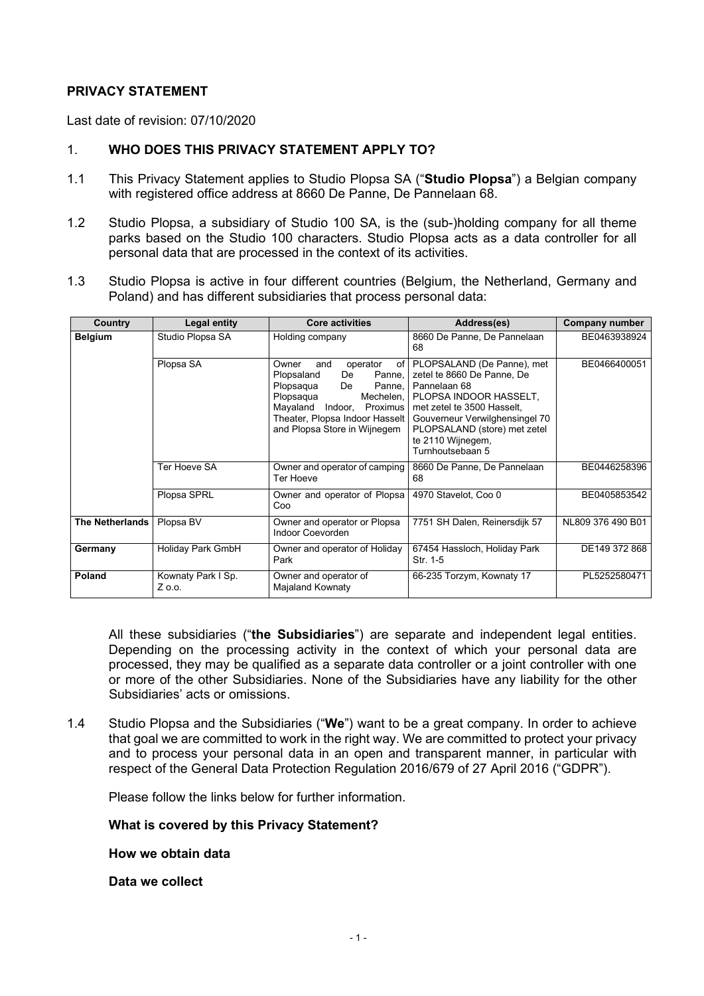#### **PRIVACY STATEMENT**

Last date of revision: 07/10/2020

# 1. **WHO DOES THIS PRIVACY STATEMENT APPLY TO?**

- 1.1 This Privacy Statement applies to Studio Plopsa SA ("**Studio Plopsa**") a Belgian company with registered office address at 8660 De Panne, De Pannelaan 68.
- 1.2 Studio Plopsa, a subsidiary of Studio 100 SA, is the (sub-)holding company for all theme parks based on the Studio 100 characters. Studio Plopsa acts as a data controller for all personal data that are processed in the context of its activities.
- 1.3 Studio Plopsa is active in four different countries (Belgium, the Netherland, Germany and Poland) and has different subsidiaries that process personal data:

| Country                | <b>Legal entity</b>          | <b>Core activities</b>                                                                                                                                                                                                 | Address(es)                                                                                                                                                                                                                                 | Company number    |
|------------------------|------------------------------|------------------------------------------------------------------------------------------------------------------------------------------------------------------------------------------------------------------------|---------------------------------------------------------------------------------------------------------------------------------------------------------------------------------------------------------------------------------------------|-------------------|
| <b>Belgium</b>         | Studio Plopsa SA             | Holding company                                                                                                                                                                                                        | 8660 De Panne, De Pannelaan<br>68                                                                                                                                                                                                           | BE0463938924      |
|                        | Plopsa SA                    | Owner<br>and<br>operator<br>of I<br>De<br>Panne,<br>Plopsaland<br>Plopsaqua<br>De<br>Panne.<br>Mechelen,<br>Plopsaqua<br>Mayaland Indoor, Proximus<br>Theater, Plopsa Indoor Hasselt  <br>and Plopsa Store in Wijnegem | PLOPSALAND (De Panne), met<br>zetel te 8660 De Panne, De<br>Pannelaan 68<br>PLOPSA INDOOR HASSELT.<br>met zetel te 3500 Hasselt,<br>Gouverneur Verwilghensingel 70<br>PLOPSALAND (store) met zetel<br>te 2110 Wijnegem,<br>Turnhoutsebaan 5 | BE0466400051      |
|                        | Ter Hoeve SA                 | Owner and operator of camping<br>Ter Hoeve                                                                                                                                                                             | 8660 De Panne, De Pannelaan<br>68                                                                                                                                                                                                           | BE0446258396      |
|                        | Plopsa SPRL                  | Owner and operator of Plopsa<br>Coo                                                                                                                                                                                    | 4970 Stavelot, Coo 0                                                                                                                                                                                                                        | BE0405853542      |
| <b>The Netherlands</b> | Plopsa BV                    | Owner and operator or Plopsa<br>Indoor Coevorden                                                                                                                                                                       | 7751 SH Dalen, Reinersdijk 57                                                                                                                                                                                                               | NL809 376 490 B01 |
| Germany                | Holiday Park GmbH            | Owner and operator of Holiday<br>Park                                                                                                                                                                                  | 67454 Hassloch, Holiday Park<br>Str. 1-5                                                                                                                                                                                                    | DE149 372 868     |
| Poland                 | Kownaty Park I Sp.<br>Z o.o. | Owner and operator of<br>Majaland Kownaty                                                                                                                                                                              | 66-235 Torzym, Kownaty 17                                                                                                                                                                                                                   | PL5252580471      |

All these subsidiaries ("**the Subsidiaries**") are separate and independent legal entities. Depending on the processing activity in the context of which your personal data are processed, they may be qualified as a separate data controller or a joint controller with one or more of the other Subsidiaries. None of the Subsidiaries have any liability for the other Subsidiaries' acts or omissions.

1.4 Studio Plopsa and the Subsidiaries ("**We**") want to be a great company. In order to achieve that goal we are committed to work in the right way. We are committed to protect your privacy and to process your personal data in an open and transparent manner, in particular with respect of the General Data Protection Regulation 2016/679 of 27 April 2016 ("GDPR").

Please follow the links below for further information.

**What is covered by this Privacy Statement?**

**How we obtain data**

**Data we collect**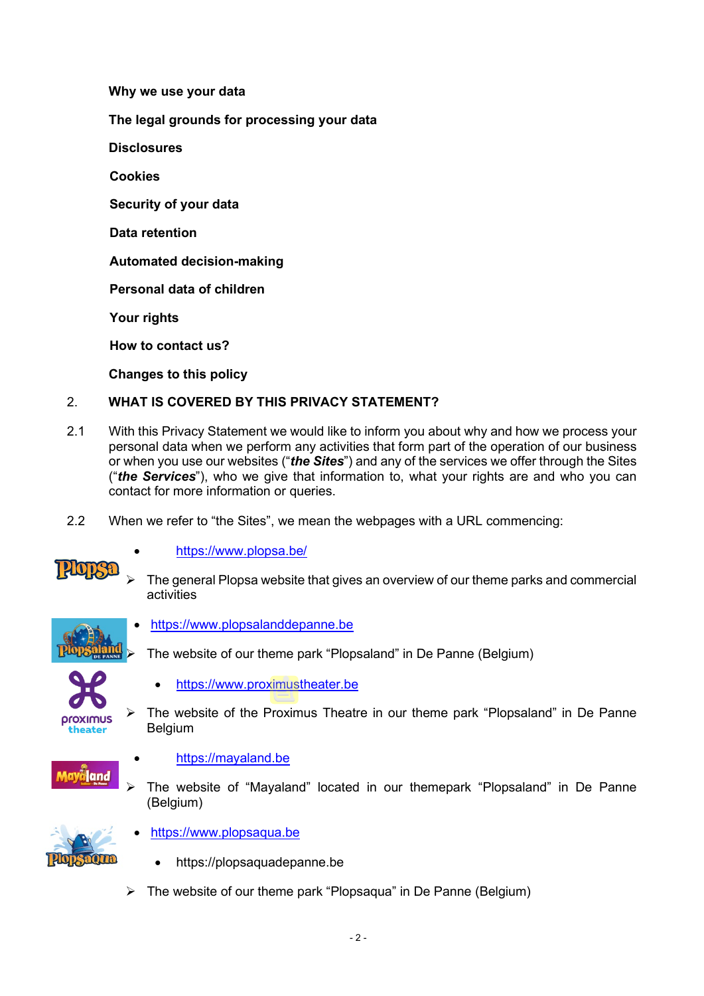**Why we use your data**

**The legal grounds for processing your data**

**Disclosures**

**Cookies**

**Security of your data** 

**Data retention**

**Automated decision-making**

**Personal data of children**

**Your rights**

**How to contact us?**

**Changes to this policy**

# 2. **WHAT IS COVERED BY THIS PRIVACY STATEMENT?**

- 2.1 With this Privacy Statement we would like to inform you about why and how we process your personal data when we perform any activities that form part of the operation of our business or when you use our websites ("*the Sites*") and any of the services we offer through the Sites ("*the Services*"), who we give that information to, what your rights are and who you can contact for more information or queries.
- 2.2 When we refer to "the Sites", we mean the webpages with a URL commencing:



- <https://www.plopsa.be/>
- The general Plopsa website that gives an overview of our theme parks and commercial activities



• [https://www.plopsalanddepanne.be](https://www.plopsalanddepanne.be/)





- [https://www.proximustheater.be](https://www.proximustheater.be/)
- $\triangleright$  The website of the Proximus Theatre in our theme park "Plopsaland" in De Panne Belgium



- [https://mayaland.be](https://mayaland.be/)
- The website of "Mayaland" located in our themepark "Plopsaland" in De Panne (Belgium)



- [https://www.plopsaqua.be](https://www.plopsaqua.be/)
	- https://plopsaquadepanne.be
- $\triangleright$  The website of our theme park "Plopsaqua" in De Panne (Belgium)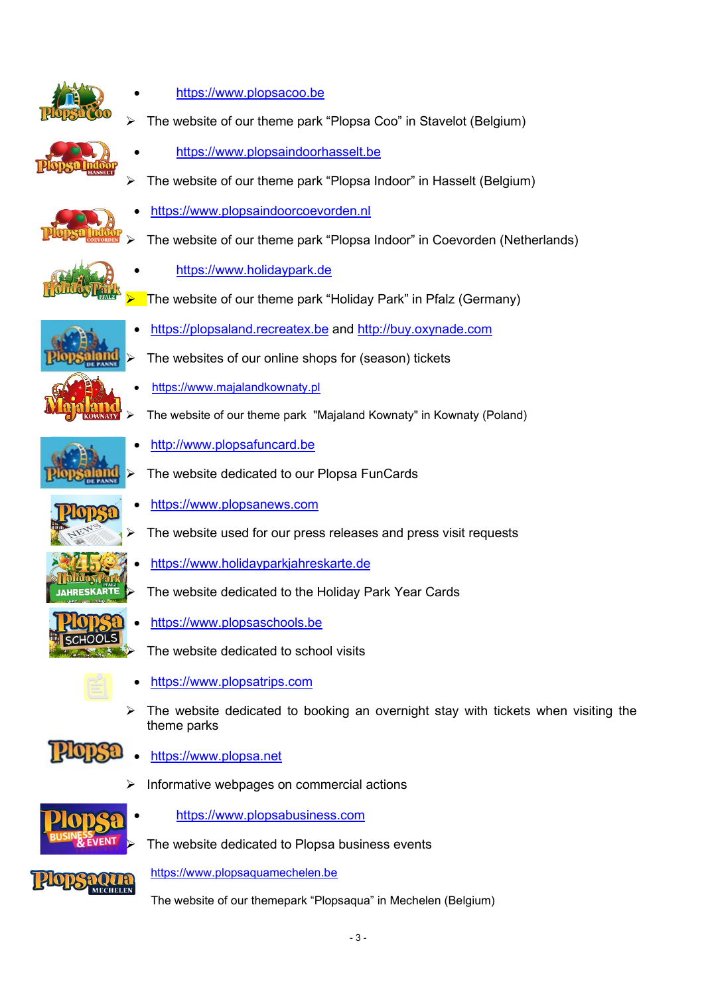

- [https://www.plopsacoo.be](https://www.plopsacoo.be/)
- The website of our theme park "Plopsa Coo" in Stavelot (Belgium)

The website of our theme park "Plopsa Indoor" in Hasselt (Belgium)

The website of our theme park "Plopsa Indoor" in Coevorden (Netherlands)

• [https://www.plopsaindoorhasselt.be](https://www.plopsaindoorhasselt.be/)

• [https://www.plopsaindoorcoevorden.nl](https://www.plopsaindoorcoevorden.nl/)





- 
- [https://www.holidaypark.de](https://www.holidaypark.de/)
- The website of our theme park "Holiday Park" in Pfalz (Germany)
- [https://plopsaland.recreatex.be](https://plopsaland.recreatex.be/) and [http://buy.oxynade.com](https://protect-eu.mimecast.com/s/LOU3Cwp8nINgw1h9VPHk)
- The websites of our online shops for (season) tickets
- [https://www.majalandkownaty.pl](https://www.majalandkownaty.pl/)
- The website of our theme park "Majaland Kownaty" in Kownaty (Poland)
	- [http://www.plopsafuncard.be](http://www.plopsafuncard.be/)
- The website dedicated to our Plopsa FunCards
	- [https://www.plopsanews.com](https://www.plopsanews.com/)
- The website used for our press releases and press visit requests
- [https://www.holidayparkjahreskarte.de](https://www.holidayparkjahreskarte.de/)
- The website dedicated to the Holiday Park Year Cards
- [https://www.plopsaschools.be](https://www.plopsaschools.be/)
	- The website dedicated to school visits
- [https://www.plopsatrips.com](https://www.plopsatrips.com/)
- $\triangleright$  The website dedicated to booking an overnight stay with tickets when visiting the theme parks
- **HOP** • [https://www.plopsa.net](https://www.plopsa.net/)
	- Informative webpages on commercial actions



• [https://www.plopsabusiness.com](https://www.plopsabusiness.com/)

The website dedicated to Plopsa business events

[https://www.plopsaquamechelen.be](https://protect-eu.mimecast.com/s/5mc8ClYV8H3ZkBUyjX8P)

The website of our themepark "Plopsaqua" in Mechelen (Belgium)









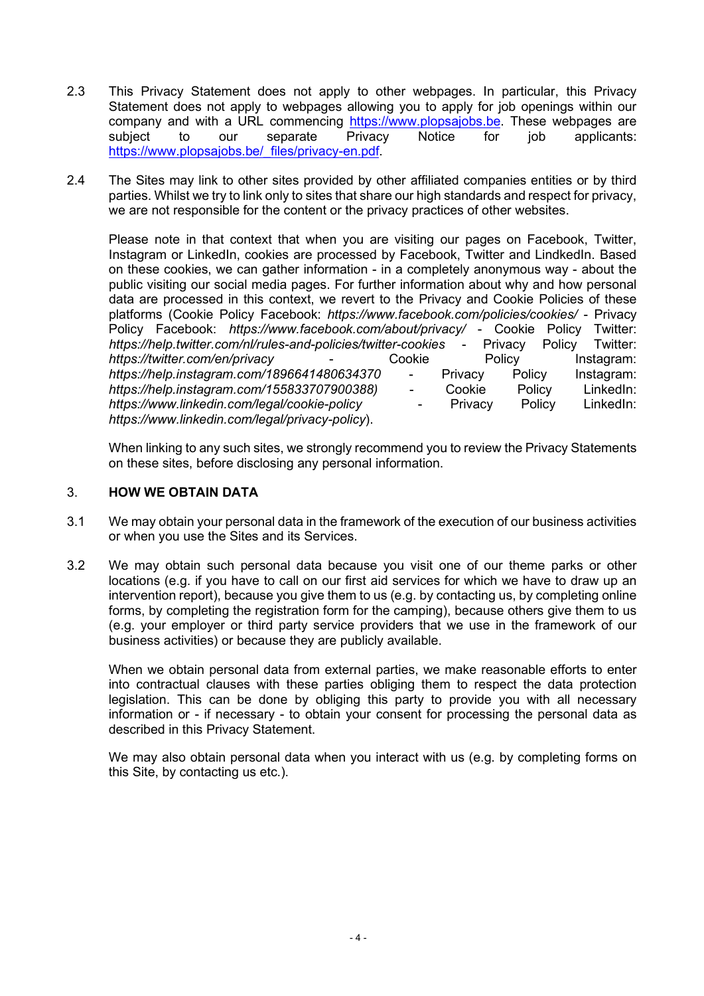- 2.3 This Privacy Statement does not apply to other webpages. In particular, this Privacy Statement does not apply to webpages allowing you to apply for job openings within our company and with a URL commencing [https://www.plopsajobs.be.](https://www.plopsajobs.be/) These webpages are subject to our separate Privacy Notice for job applicants: https://www.plopsajobs.be/\_files/privacy-en.pdf
- 2.4 The Sites may link to other sites provided by other affiliated companies entities or by third parties. Whilst we try to link only to sites that share our high standards and respect for privacy, we are not responsible for the content or the privacy practices of other websites.

Please note in that context that when you are visiting our pages on Facebook, Twitter, Instagram or LinkedIn, cookies are processed by Facebook, Twitter and LindkedIn. Based on these cookies, we can gather information - in a completely anonymous way - about the public visiting our social media pages. For further information about why and how personal data are processed in this context, we revert to the Privacy and Cookie Policies of these platforms (Cookie Policy Facebook: *https://www.facebook.com/policies/cookies/* - Privacy Policy Facebook: *https://www.facebook.com/about/privacy/ -* Cookie Policy Twitter:<br>*https://help.twitter.com/nl/rules-and-policies/twitter-cookies - Privacy Policy Twitter: https://help.twitter.com/nl/rules-and-policies/twitter-cookies* - Privacy Policy Twitter: *https://twitter.com/en/privacy https://help.instagram.com/1896641480634370* - Privacy Policy Instagram: *https://help.instagram.com/155833707900388)* - Cookie Policy LinkedIn: *https://www.linkedin.com/legal/cookie-policy* - Privacy Policy LinkedIn: *https://www.linkedin.com/legal/privacy-policy*).

When linking to any such sites, we strongly recommend you to review the Privacy Statements on these sites, before disclosing any personal information.

#### 3. **HOW WE OBTAIN DATA**

- 3.1 We may obtain your personal data in the framework of the execution of our business activities or when you use the Sites and its Services.
- 3.2 We may obtain such personal data because you visit one of our theme parks or other locations (e.g. if you have to call on our first aid services for which we have to draw up an intervention report), because you give them to us (e.g. by contacting us, by completing online forms, by completing the registration form for the camping), because others give them to us (e.g. your employer or third party service providers that we use in the framework of our business activities) or because they are publicly available.

When we obtain personal data from external parties, we make reasonable efforts to enter into contractual clauses with these parties obliging them to respect the data protection legislation. This can be done by obliging this party to provide you with all necessary information or - if necessary - to obtain your consent for processing the personal data as described in this Privacy Statement.

We may also obtain personal data when you interact with us (e.g. by completing forms on this Site, by contacting us etc.).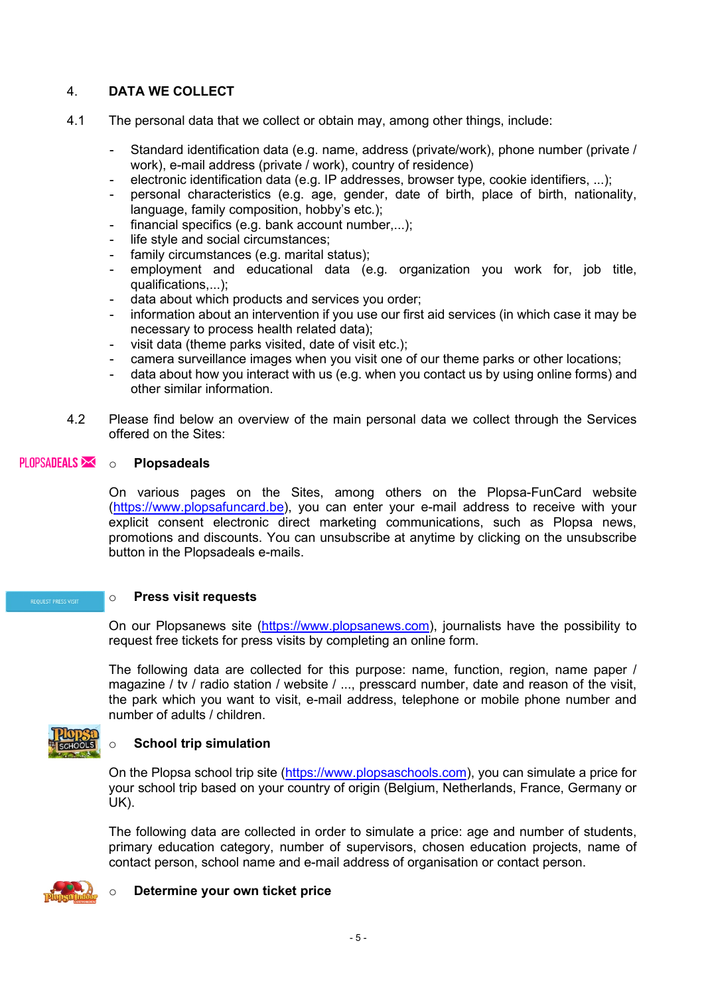# 4. **DATA WE COLLECT**

- 4.1 The personal data that we collect or obtain may, among other things, include:
	- Standard identification data (e.g. name, address (private/work), phone number (private / work), e-mail address (private / work), country of residence)
	- electronic identification data (e.g. IP addresses, browser type, cookie identifiers, ...);
	- personal characteristics (e.g. age, gender, date of birth, place of birth, nationality, language, family composition, hobby's etc.);
	- financial specifics (e.g. bank account number,...);
	- life style and social circumstances:
	- family circumstances (e.g. marital status);
	- employment and educational data (e.g. organization you work for, job title, qualifications,...);
	- data about which products and services you order;
	- information about an intervention if you use our first aid services (in which case it may be necessary to process health related data);
	- visit data (theme parks visited, date of visit etc.);
	- camera surveillance images when you visit one of our theme parks or other locations;
	- data about how you interact with us (e.g. when you contact us by using online forms) and other similar information.
- 4.2 Please find below an overview of the main personal data we collect through the Services offered on the Sites:

# PLOPSADEALS  $\overline{\phantom{a}}$  o **Plopsadeals**

On various pages on the Sites, among others on the Plopsa-FunCard website [\(https://www.plopsafuncard.be\)](https://www.plopsafuncard.be/), you can enter your e-mail address to receive with your explicit consent electronic direct marketing communications, such as Plopsa news, promotions and discounts. You can unsubscribe at anytime by clicking on the unsubscribe button in the Plopsadeals e-mails.

#### o **Press visit requests**

On our Plopsanews site [\(https://www.plopsanews.com\)](https://www.plopsanews.com/), journalists have the possibility to request free tickets for press visits by completing an online form.

The following data are collected for this purpose: name, function, region, name paper / magazine / tv / radio station / website / ..., presscard number, date and reason of the visit, the park which you want to visit, e-mail address, telephone or mobile phone number and number of adults / children.



#### **School trip simulation**

On the Plopsa school trip site [\(https://www.plopsaschools.com\)](https://www.plopsaschools.com/), you can simulate a price for your school trip based on your country of origin (Belgium, Netherlands, France, Germany or UK).

The following data are collected in order to simulate a price: age and number of students, primary education category, number of supervisors, chosen education projects, name of contact person, school name and e-mail address of organisation or contact person.



#### o **Determine your own ticket price**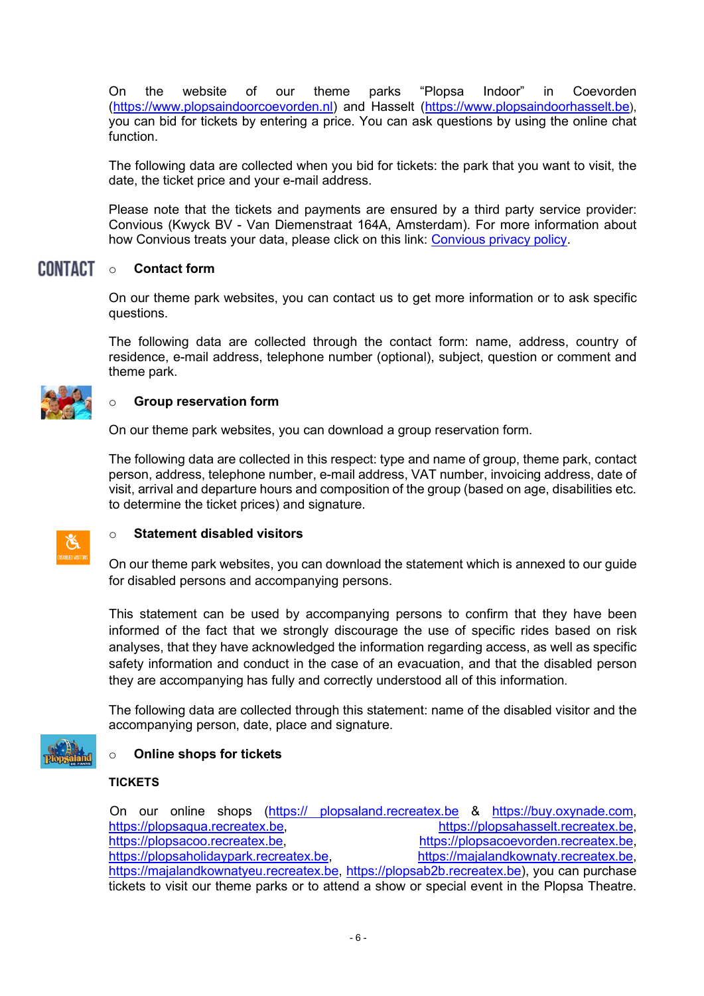On the website of our theme parks "Plopsa Indoor" in Coevorden [\(https://www.plopsaindoorcoevorden.nl\)](https://www.plopsaindoorcoevorden.nl/) and Hasselt [\(https://www.plopsaindoorhasselt.be\)](https://www.plopsaindoorhasselt.be/), you can bid for tickets by entering a price. You can ask questions by using the online chat function.

The following data are collected when you bid for tickets: the park that you want to visit, the date, the ticket price and your e-mail address.

Please note that the tickets and payments are ensured by a third party service provider: Convious (Kwyck BV - Van Diemenstraat 164A, Amsterdam). For more information about how Convious treats your data, please click on this link: [Convious privacy policy.](https://convio.us/privacy-policy/)

#### **CONTACT** o **Contact form**

On our theme park websites, you can contact us to get more information or to ask specific questions.

The following data are collected through the contact form: name, address, country of residence, e-mail address, telephone number (optional), subject, question or comment and theme park.



#### **Group reservation form**

On our theme park websites, you can download a group reservation form.

The following data are collected in this respect: type and name of group, theme park, contact person, address, telephone number, e-mail address, VAT number, invoicing address, date of visit, arrival and departure hours and composition of the group (based on age, disabilities etc. to determine the ticket prices) and signature.

#### o **Statement disabled visitors**

On our theme park websites, you can download the statement which is annexed to our guide for disabled persons and accompanying persons.

This statement can be used by accompanying persons to confirm that they have been informed of the fact that we strongly discourage the use of specific rides based on risk analyses, that they have acknowledged the information regarding access, as well as specific safety information and conduct in the case of an evacuation, and that the disabled person they are accompanying has fully and correctly understood all of this information.

The following data are collected through this statement: name of the disabled visitor and the accompanying person, date, place and signature.



#### o **Online shops for tickets**

#### **TICKETS**

On our online shops (https:// plopsaland.recreatex.be & [https://buy.oxynade.com,](https://buy.oxynade.com/) [https://plopsaqua.recreatex.be,](https://plopsaqua.recreatex.be/)<br>[https://plopsahasselt.recreatex.be,](https://plopsahasselt.recreatex.be/)<br>https://plopsacoevorden.recreatex.be,<br>https://plopsacoevorden.recreatex.be, [https://plopsacoevorden.recreatex.be,](https://plopsacoevorden.recreatex.be/) https://plopsaholidaypark.recreatex.be. [https://majalandkownaty.recreatex.be,](https://majalandkownaty.recreatex.be/) [https://majalandkownatyeu.recreatex.be,](https://majalandkownatyeu.recreatex.be/) [https://plopsab2b.recreatex.be\)](https://plopsab2b.recreatex.be/), you can purchase tickets to visit our theme parks or to attend a show or special event in the Plopsa Theatre.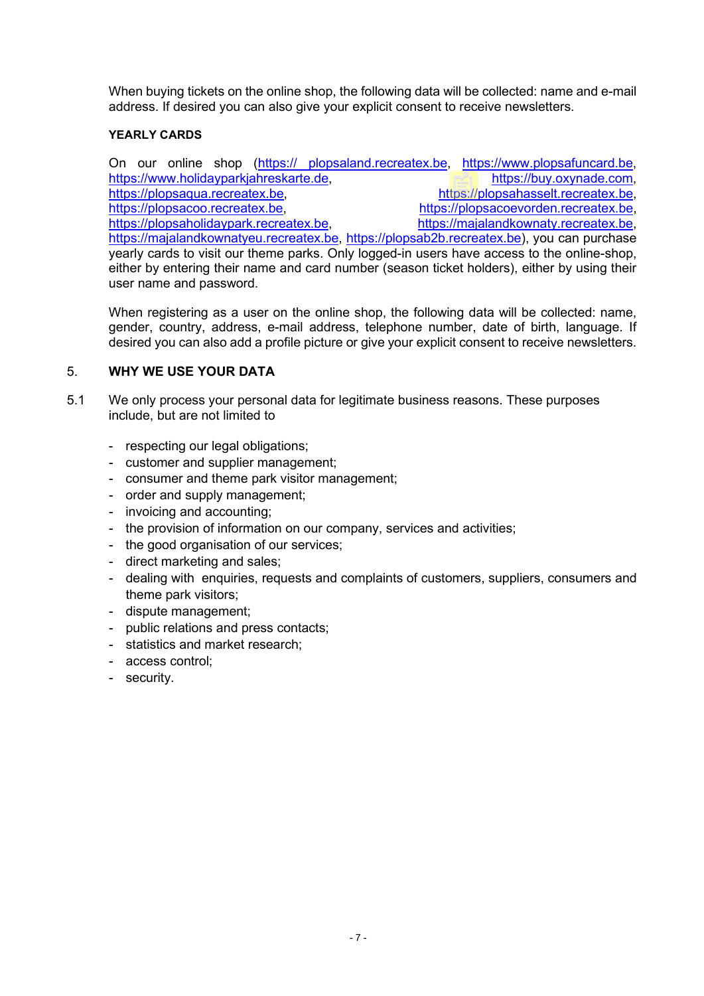When buying tickets on the online shop, the following data will be collected: name and e-mail address. If desired you can also give your explicit consent to receive newsletters.

#### **YEARLY CARDS**

On our online shop (https:// plopsaland.recreatex.be, [https://www.plopsafuncard.be,](https://protect-eu.mimecast.com/s/THBoCBB71Ik4AgiXLzel) https://www.holidayparkiahreskarte.de. https://buv.oxynade.com. https://www.holidayparkiahreskarte.de. https://plopsaqua.recreatex.be. [https://plopsahasselt.recreatex.be,](https://plopsahasselt.recreatex.be/) https://plopsahasselt.recreatex.be, [https://plopsacoo.recreatex.be,](https://plopsacoo.recreatex.be/) [https://plopsacoevorden.recreatex.be,](https://plopsacoevorden.recreatex.be/) [https://plopsaholidaypark.recreatex.be,](https://plopsaholidaypark.recreatex.be/) [https://majalandkownaty.recreatex.be,](https://majalandkownaty.recreatex.be/) [https://majalandkownatyeu.recreatex.be,](https://majalandkownatyeu.recreatex.be/) [https://plopsab2b.recreatex.be\)](https://plopsab2b.recreatex.be/), you can purchase yearly cards to visit our theme parks. Only logged-in users have access to the online-shop, either by entering their name and card number (season ticket holders), either by using their user name and password.

When registering as a user on the online shop, the following data will be collected; name, gender, country, address, e-mail address, telephone number, date of birth, language. If desired you can also add a profile picture or give your explicit consent to receive newsletters.

#### 5. **WHY WE USE YOUR DATA**

- 5.1 We only process your personal data for legitimate business reasons. These purposes include, but are not limited to
	- respecting our legal obligations;
	- customer and supplier management;
	- consumer and theme park visitor management;
	- order and supply management;
	- invoicing and accounting;
	- the provision of information on our company, services and activities;
	- the good organisation of our services;
	- direct marketing and sales;
	- dealing with enquiries, requests and complaints of customers, suppliers, consumers and theme park visitors;
	- dispute management;
	- public relations and press contacts;
	- statistics and market research:
	- access control;
	- security.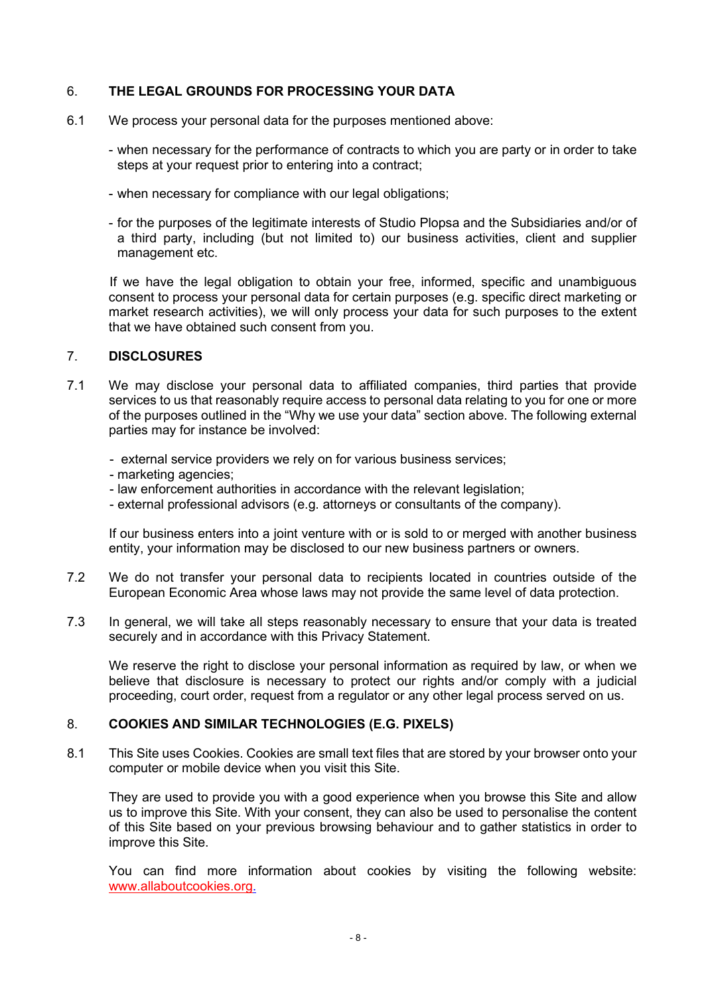#### 6. **THE LEGAL GROUNDS FOR PROCESSING YOUR DATA**

- 6.1 We process your personal data for the purposes mentioned above:
	- when necessary for the performance of contracts to which you are party or in order to take steps at your request prior to entering into a contract;
	- when necessary for compliance with our legal obligations;
	- for the purposes of the legitimate interests of Studio Plopsa and the Subsidiaries and/or of a third party, including (but not limited to) our business activities, client and supplier management etc.

If we have the legal obligation to obtain your free, informed, specific and unambiguous consent to process your personal data for certain purposes (e.g. specific direct marketing or market research activities), we will only process your data for such purposes to the extent that we have obtained such consent from you.

#### 7. **DISCLOSURES**

7.1 We may disclose your personal data to affiliated companies, third parties that provide services to us that reasonably require access to personal data relating to you for one or more of the purposes outlined in the "Why we use your data" section above. The following external parties may for instance be involved:

- external service providers we rely on for various business services;

- marketing agencies;
- law enforcement authorities in accordance with the relevant legislation;
- external professional advisors (e.g. attorneys or consultants of the company).

If our business enters into a joint venture with or is sold to or merged with another business entity, your information may be disclosed to our new business partners or owners.

- 7.2 We do not transfer your personal data to recipients located in countries outside of the European Economic Area whose laws may not provide the same level of data protection.
- 7.3 In general, we will take all steps reasonably necessary to ensure that your data is treated securely and in accordance with this Privacy Statement.

We reserve the right to disclose your personal information as required by law, or when we believe that disclosure is necessary to protect our rights and/or comply with a judicial proceeding, court order, request from a regulator or any other legal process served on us.

#### 8. **COOKIES AND SIMILAR TECHNOLOGIES (E.G. PIXELS)**

8.1 This Site uses Cookies. Cookies are small text files that are stored by your browser onto your computer or mobile device when you visit this Site.

They are used to provide you with a good experience when you browse this Site and allow us to improve this Site. With your consent, they can also be used to personalise the content of this Site based on your previous browsing behaviour and to gather statistics in order to improve this Site.

You can find more information about cookies by visiting the following website: [www.allaboutcookies.org.](http://www.allaboutcookies.org/)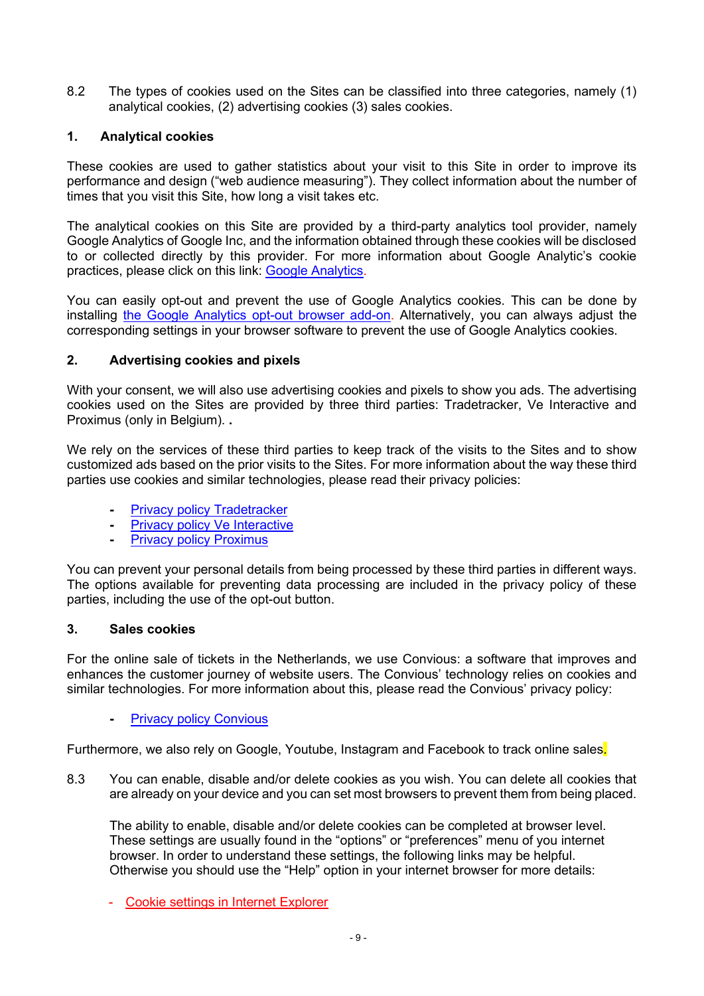8.2 The types of cookies used on the Sites can be classified into three categories, namely (1) analytical cookies, (2) advertising cookies (3) sales cookies.

# **1. Analytical cookies**

These cookies are used to gather statistics about your visit to this Site in order to improve its performance and design ("web audience measuring"). They collect information about the number of times that you visit this Site, how long a visit takes etc.

The analytical cookies on this Site are provided by a third-party analytics tool provider, namely Google Analytics of Google Inc, and the information obtained through these cookies will be disclosed to or collected directly by this provider. For more information about Google Analytic's cookie practices, please click on this link: [Google Analytics.](https://support.google.com/analytics/answer/6004245?hl=en)

You can easily opt-out and prevent the use of Google Analytics cookies. This can be done by installing [the Google Analytics opt-out browser add-on.](https://tools.google.com/dlpage/gaoptout?hl=en) Alternatively, you can always adjust the corresponding settings in your browser software to prevent the use of Google Analytics cookies.

# **2. Advertising cookies and pixels**

With your consent, we will also use advertising cookies and pixels to show you ads. The advertising cookies used on the Sites are provided by three third parties: Tradetracker, Ve Interactive and Proximus (only in Belgium). **.**

We rely on the services of these third parties to keep track of the visits to the Sites and to show customized ads based on the prior visits to the Sites. For more information about the way these third parties use cookies and similar technologies, please read their privacy policies:

- **-** [Privacy policy Tradetracker](https://tradetracker.com/nl/privacy-policy/how-we-use-cookies/)
- **-** [Privacy policy Ve Interactive](https://www.ve.com/cookies-policy)
- **-** [Privacy policy Proximus](https://www.proximus.be/en/id_cr_cookie/personal/products/orphans/cookie-policy.html)

You can prevent your personal details from being processed by these third parties in different ways. The options available for preventing data processing are included in the privacy policy of these parties, including the use of the opt-out button.

#### **3. Sales cookies**

For the online sale of tickets in the Netherlands, we use Convious: a software that improves and enhances the customer journey of website users. The Convious' technology relies on cookies and similar technologies. For more information about this, please read the Convious' privacy policy:

#### **-** [Privacy policy Convious](https://www.convious.com/privacy-policy/)

Furthermore, we also rely on Google, Youtube, Instagram and Facebook to track online sales.

8.3 You can enable, disable and/or delete cookies as you wish. You can delete all cookies that are already on your device and you can set most browsers to prevent them from being placed.

The ability to enable, disable and/or delete cookies can be completed at browser level. These settings are usually found in the "options" or "preferences" menu of you internet browser. In order to understand these settings, the following links may be helpful. Otherwise you should use the "Help" option in your internet browser for more details:

- [Cookie settings in Internet Explorer](https://support.microsoft.com/en-gb/help/17442/windows-internet-explorer-delete-manage-cookies)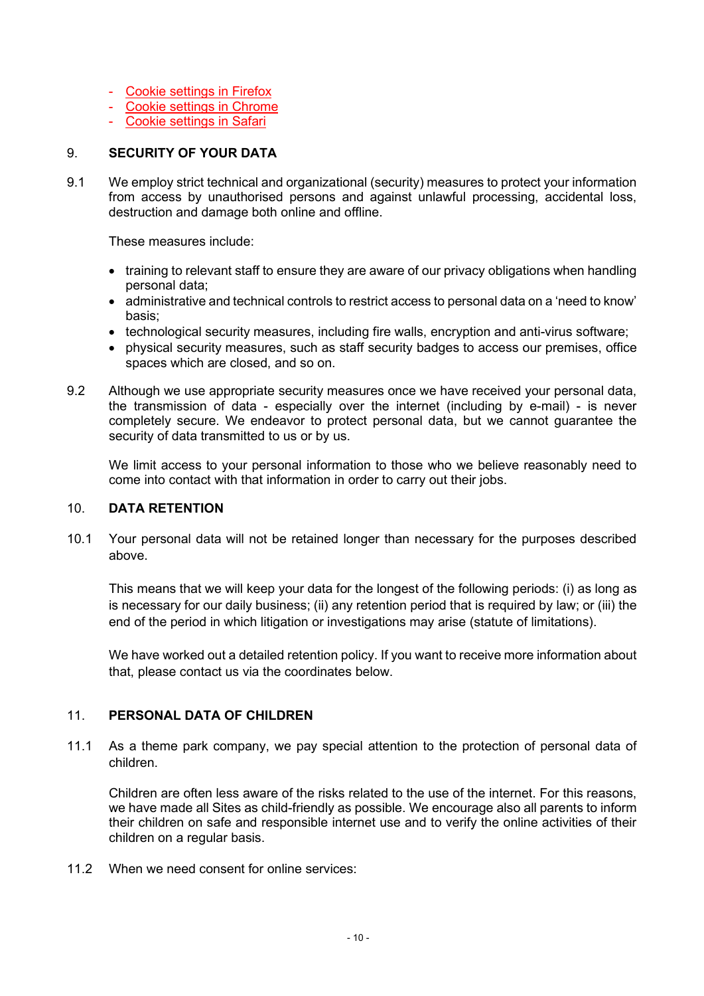- [Cookie settings in Firefox](https://support.mozilla.org/en-US/kb/cookies-information-websites-store-on-your-computer?redirectlocale=en-US&redirectslug=Cookies)
- [Cookie settings in Chrome](https://support.google.com/chrome/bin/answer.py?hl=en&answer=95647)
- [Cookie settings in Safari](https://support.apple.com/kb/HT1677)

#### 9. **SECURITY OF YOUR DATA**

9.1 We employ strict technical and organizational (security) measures to protect your information from access by unauthorised persons and against unlawful processing, accidental loss, destruction and damage both online and offline.

These measures include:

- training to relevant staff to ensure they are aware of our privacy obligations when handling personal data;
- administrative and technical controls to restrict access to personal data on a 'need to know' basis;
- technological security measures, including fire walls, encryption and anti-virus software;
- physical security measures, such as staff security badges to access our premises, office spaces which are closed, and so on.
- 9.2 Although we use appropriate security measures once we have received your personal data, the transmission of data - especially over the internet (including by e-mail) - is never completely secure. We endeavor to protect personal data, but we cannot guarantee the security of data transmitted to us or by us.

We limit access to your personal information to those who we believe reasonably need to come into contact with that information in order to carry out their jobs.

#### 10. **DATA RETENTION**

10.1 Your personal data will not be retained longer than necessary for the purposes described above.

This means that we will keep your data for the longest of the following periods: (i) as long as is necessary for our daily business; (ii) any retention period that is required by law; or (iii) the end of the period in which litigation or investigations may arise (statute of limitations).

We have worked out a detailed retention policy. If you want to receive more information about that, please contact us via the coordinates below.

#### 11. **PERSONAL DATA OF CHILDREN**

11.1 As a theme park company, we pay special attention to the protection of personal data of children.

Children are often less aware of the risks related to the use of the internet. For this reasons, we have made all Sites as child-friendly as possible. We encourage also all parents to inform their children on safe and responsible internet use and to verify the online activities of their children on a regular basis.

11.2 When we need consent for online services: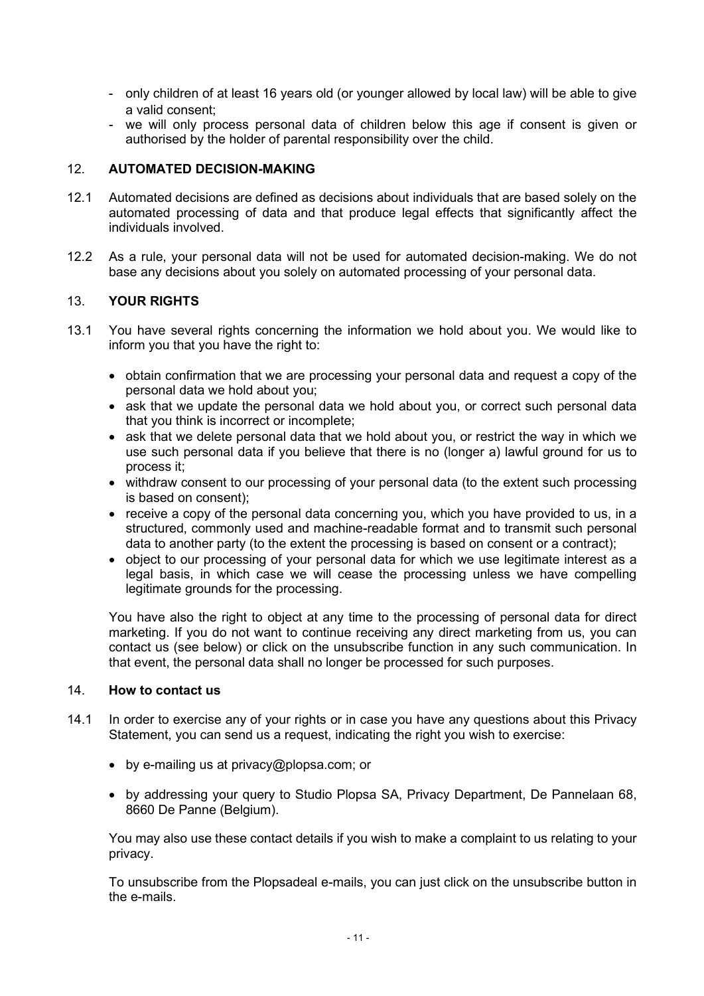- only children of at least 16 years old (or younger allowed by local law) will be able to give a valid consent;
- we will only process personal data of children below this age if consent is given or authorised by the holder of parental responsibility over the child.

#### 12. **AUTOMATED DECISION-MAKING**

- 12.1 Automated decisions are defined as decisions about individuals that are based solely on the automated processing of data and that produce legal effects that significantly affect the individuals involved.
- 12.2 As a rule, your personal data will not be used for automated decision-making. We do not base any decisions about you solely on automated processing of your personal data.

#### 13. **YOUR RIGHTS**

- 13.1 You have several rights concerning the information we hold about you. We would like to inform you that you have the right to:
	- obtain confirmation that we are processing your personal data and request a copy of the personal data we hold about you;
	- ask that we update the personal data we hold about you, or correct such personal data that you think is incorrect or incomplete;
	- ask that we delete personal data that we hold about you, or restrict the way in which we use such personal data if you believe that there is no (longer a) lawful ground for us to process it;
	- withdraw consent to our processing of your personal data (to the extent such processing is based on consent);
	- receive a copy of the personal data concerning you, which you have provided to us, in a structured, commonly used and machine-readable format and to transmit such personal data to another party (to the extent the processing is based on consent or a contract);
	- object to our processing of your personal data for which we use legitimate interest as a legal basis, in which case we will cease the processing unless we have compelling legitimate grounds for the processing.

You have also the right to object at any time to the processing of personal data for direct marketing. If you do not want to continue receiving any direct marketing from us, you can contact us (see below) or click on the unsubscribe function in any such communication. In that event, the personal data shall no longer be processed for such purposes.

#### 14. **How to contact us**

- 14.1 In order to exercise any of your rights or in case you have any questions about this Privacy Statement, you can send us a request, indicating the right you wish to exercise:
	- by e-mailing us at privacy@plopsa.com; or
	- by addressing your query to Studio Plopsa SA, Privacy Department, De Pannelaan 68, 8660 De Panne (Belgium).

You may also use these contact details if you wish to make a complaint to us relating to your privacy.

To unsubscribe from the Plopsadeal e-mails, you can just click on the unsubscribe button in the e-mails.